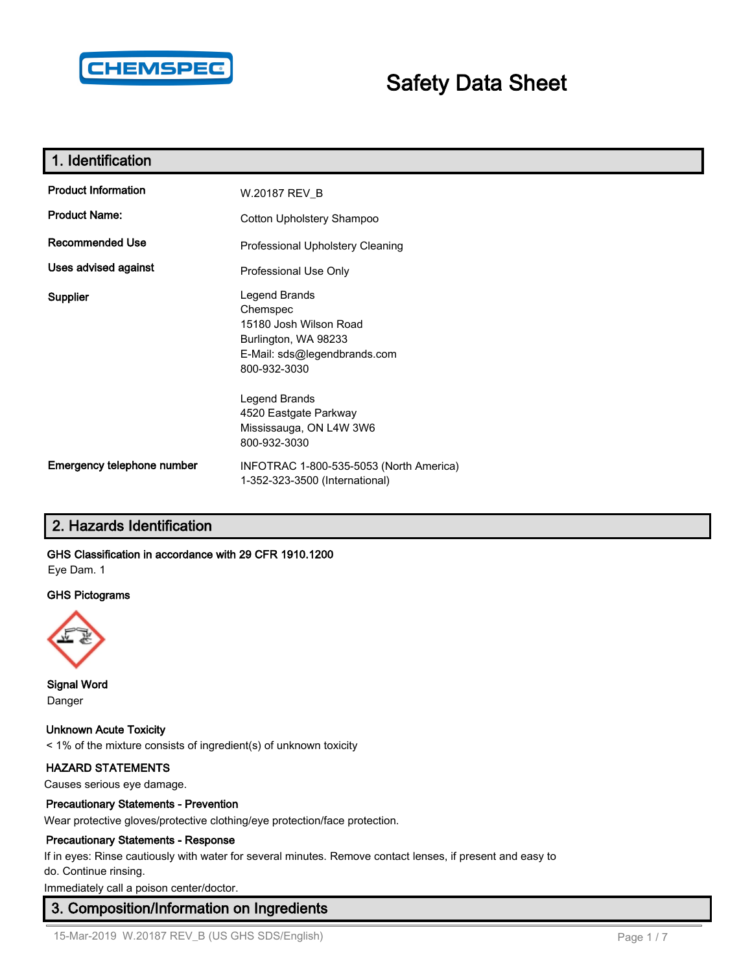

# **Safety Data Sheet**

| 1. Identification          |                                                                                                                             |
|----------------------------|-----------------------------------------------------------------------------------------------------------------------------|
| <b>Product Information</b> | W.20187 REV_B                                                                                                               |
| <b>Product Name:</b>       | Cotton Upholstery Shampoo                                                                                                   |
| <b>Recommended Use</b>     | Professional Upholstery Cleaning                                                                                            |
| Uses advised against       | Professional Use Only                                                                                                       |
| <b>Supplier</b>            | Legend Brands<br>Chemspec<br>15180 Josh Wilson Road<br>Burlington, WA 98233<br>E-Mail: sds@legendbrands.com<br>800-932-3030 |
|                            | Legend Brands<br>4520 Eastgate Parkway<br>Mississauga, ON L4W 3W6<br>800-932-3030                                           |
| Emergency telephone number | INFOTRAC 1-800-535-5053 (North America)<br>1-352-323-3500 (International)                                                   |

# **2. Hazards Identification**

# **GHS Classification in accordance with 29 CFR 1910.1200**

Eye Dam. 1

## **GHS Pictograms**



**Signal Word** Danger

# **Unknown Acute Toxicity**

< 1% of the mixture consists of ingredient(s) of unknown toxicity

# **HAZARD STATEMENTS**

Causes serious eye damage.

#### **Precautionary Statements - Prevention**

Wear protective gloves/protective clothing/eye protection/face protection.

## **Precautionary Statements - Response**

If in eyes: Rinse cautiously with water for several minutes. Remove contact lenses, if present and easy to do. Continue rinsing.

Immediately call a poison center/doctor.

# **3. Composition/Information on Ingredients**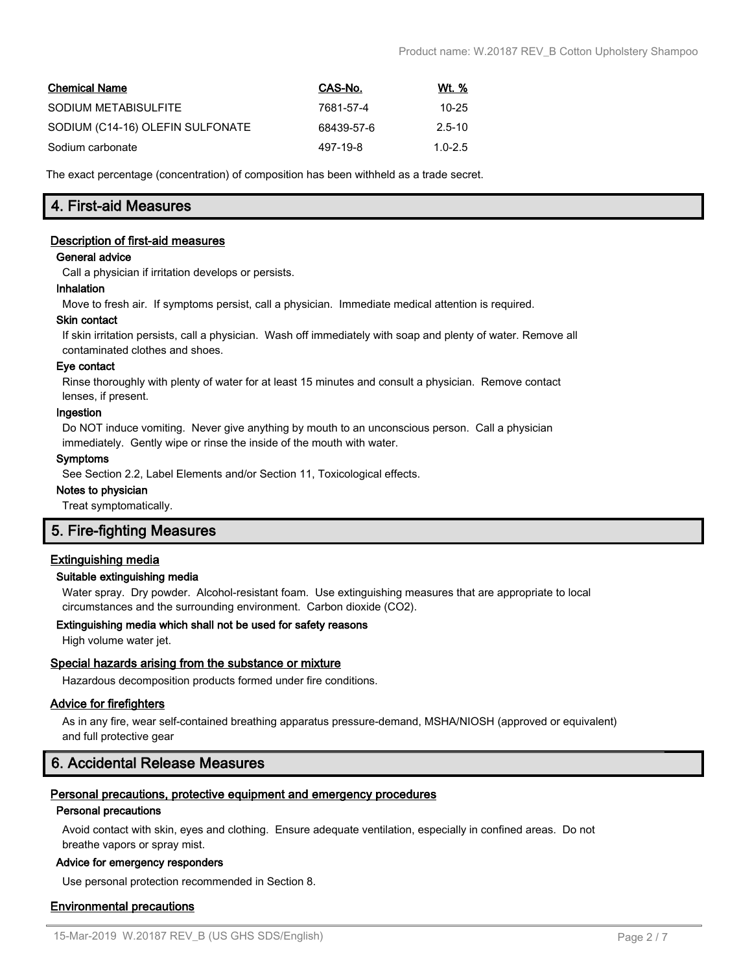| <b>Chemical Name</b>             | CAS-No.    | Wt. %       |
|----------------------------------|------------|-------------|
| SODIUM METABISULFITE             | 7681-57-4  | $10 - 25$   |
| SODIUM (C14-16) OLEFIN SULFONATE | 68439-57-6 | $2.5 - 10$  |
| Sodium carbonate                 | 497-19-8   | $1.0 - 2.5$ |

The exact percentage (concentration) of composition has been withheld as a trade secret.

# **4. First-aid Measures**

## **Description of first-aid measures**

#### **General advice**

Call a physician if irritation develops or persists.

#### **Inhalation**

Move to fresh air. If symptoms persist, call a physician. Immediate medical attention is required.

#### **Skin contact**

If skin irritation persists, call a physician. Wash off immediately with soap and plenty of water. Remove all contaminated clothes and shoes.

#### **Eye contact**

Rinse thoroughly with plenty of water for at least 15 minutes and consult a physician. Remove contact lenses, if present.

#### **Ingestion**

Do NOT induce vomiting. Never give anything by mouth to an unconscious person. Call a physician immediately. Gently wipe or rinse the inside of the mouth with water.

#### **Symptoms**

See Section 2.2, Label Elements and/or Section 11, Toxicological effects.

#### **Notes to physician**

Treat symptomatically.

# **5. Fire-fighting Measures**

## **Extinguishing media**

## **Suitable extinguishing media**

Water spray. Dry powder. Alcohol-resistant foam. Use extinguishing measures that are appropriate to local circumstances and the surrounding environment. Carbon dioxide (CO2).

## **Extinguishing media which shall not be used for safety reasons**

High volume water jet.

## **Special hazards arising from the substance or mixture**

Hazardous decomposition products formed under fire conditions.

## **Advice for firefighters**

As in any fire, wear self-contained breathing apparatus pressure-demand, MSHA/NIOSH (approved or equivalent) and full protective gear

# **6. Accidental Release Measures**

## **Personal precautions, protective equipment and emergency procedures**

## **Personal precautions**

Avoid contact with skin, eyes and clothing. Ensure adequate ventilation, especially in confined areas. Do not breathe vapors or spray mist.

## **Advice for emergency responders**

Use personal protection recommended in Section 8.

## **Environmental precautions**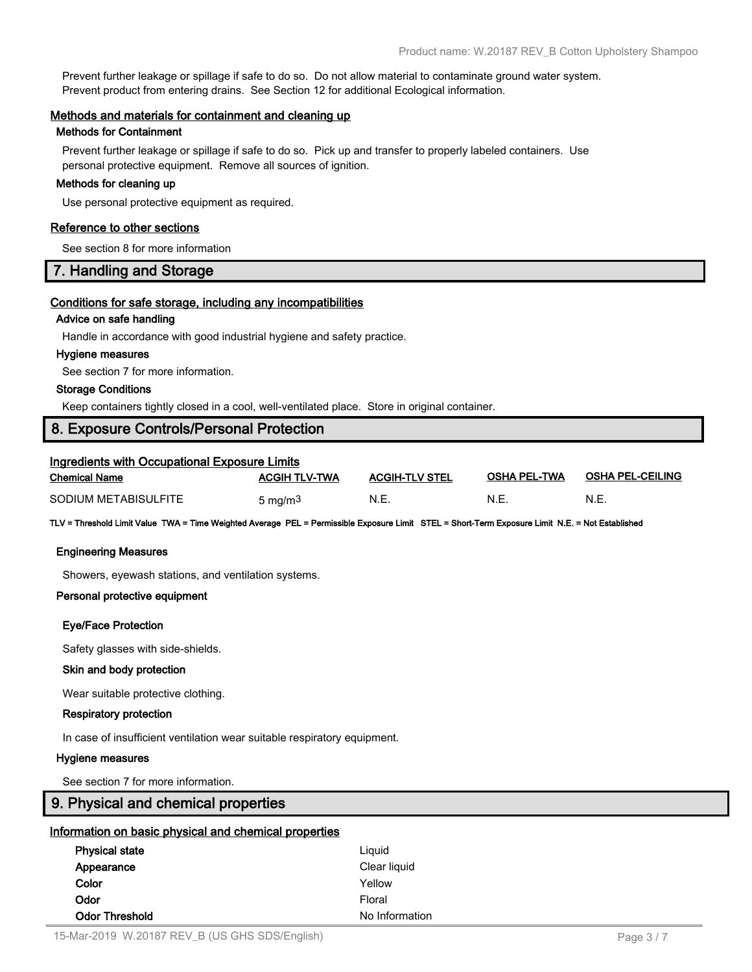Prevent further leakage or spillage if safe to do so. Do not allow material to contaminate ground water system. Prevent product from entering drains. See Section 12 for additional Ecological information.

#### **Methods and materials for containment and cleaning up**

#### **Methods for Containment**

Prevent further leakage or spillage if safe to do so. Pick up and transfer to properly labeled containers. Use personal protective equipment. Remove all sources of ignition.

#### **Methods for cleaning up**

Use personal protective equipment as required.

## **Reference to other sections**

See section 8 for more information

# **7. Handling and Storage**

## **Conditions for safe storage, including any incompatibilities**

## **Advice on safe handling**

Handle in accordance with good industrial hygiene and safety practice.

#### **Hygiene measures**

See section 7 for more information.

#### **Storage Conditions**

Keep containers tightly closed in a cool, well-ventilated place. Store in original container.

# **8. Exposure Controls/Personal Protection**

| Ingredients with Occupational Exposure Limits |                      |                       |                     |                         |
|-----------------------------------------------|----------------------|-----------------------|---------------------|-------------------------|
| <b>Chemical Name</b>                          | <b>ACGIH TLV-TWA</b> | <b>ACGIH-TLV STEL</b> | <b>OSHA PEL-TWA</b> | <b>OSHA PEL-CEILING</b> |
| SODIUM METABISULFITE                          | 5 mg/m <sup>3</sup>  | N.E.                  | N.E.                | N.E.                    |

**TLV = Threshold Limit Value TWA = Time Weighted Average PEL = Permissible Exposure Limit STEL = Short-Term Exposure Limit N.E. = Not Established**

#### **Engineering Measures**

Showers, eyewash stations, and ventilation systems.

#### **Personal protective equipment**

## **Eye/Face Protection**

Safety glasses with side-shields.

#### **Skin and body protection**

Wear suitable protective clothing.

#### **Respiratory protection**

In case of insufficient ventilation wear suitable respiratory equipment.

#### **Hygiene measures**

See section 7 for more information.

|  |  |  |  | 9. Physical and chemical properties |
|--|--|--|--|-------------------------------------|
|--|--|--|--|-------------------------------------|

|  | Information on basic physical and chemical properties |  |  |  |  |  |  |
|--|-------------------------------------------------------|--|--|--|--|--|--|
|--|-------------------------------------------------------|--|--|--|--|--|--|

| <b>Physical state</b> | Liguid         |  |
|-----------------------|----------------|--|
| Appearance            | Clear liquid   |  |
| Color                 | Yellow         |  |
| Odor                  | Floral         |  |
| <b>Odor Threshold</b> | No Information |  |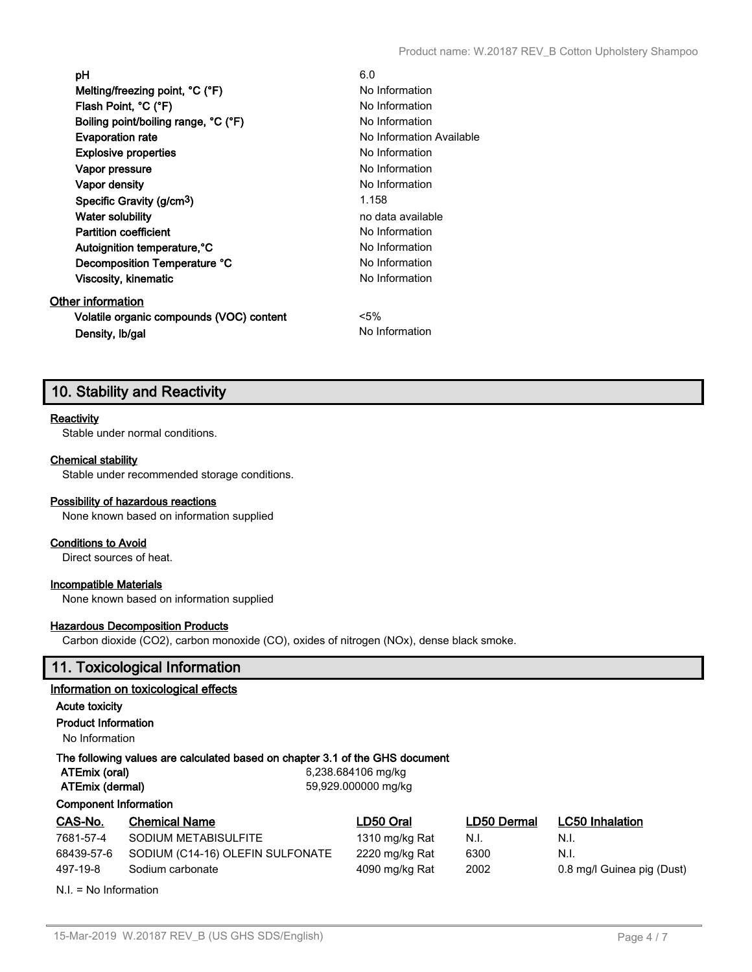| рH                                                   | 6.0                      |
|------------------------------------------------------|--------------------------|
| Melting/freezing point, $^{\circ}$ C ( $^{\circ}$ F) | No Information           |
| Flash Point, °C (°F)                                 | No Information           |
| Boiling point/boiling range, °C (°F)                 | No Information           |
| <b>Evaporation rate</b>                              | No Information Available |
| <b>Explosive properties</b>                          | No Information           |
| Vapor pressure                                       | No Information           |
| Vapor density                                        | No Information           |
| Specific Gravity (g/cm <sup>3</sup> )                | 1.158                    |
| Water solubility                                     | no data available        |
| <b>Partition coefficient</b>                         | No Information           |
| Autoignition temperature, °C                         | No Information           |
| Decomposition Temperature °C                         | No Information           |
| Viscosity, kinematic                                 | No Information           |
| Other information                                    |                          |
| Volatile organic compounds (VOC) content             | $5\%$                    |
| Density, Ib/gal                                      | No Information           |

# **10. Stability and Reactivity**

## **Reactivity**

Stable under normal conditions.

# **Chemical stability**

Stable under recommended storage conditions.

## **Possibility of hazardous reactions**

None known based on information supplied

# **Conditions to Avoid**

Direct sources of heat.

## **Incompatible Materials**

None known based on information supplied

## **Hazardous Decomposition Products**

Carbon dioxide (CO2), carbon monoxide (CO), oxides of nitrogen (NOx), dense black smoke.

# **11. Toxicological Information**

## **Information on toxicological effects**

# **Acute toxicity**

**Product Information**

No Information

# **The following values are calculated based on chapter 3.1 of the GHS document**

| ATEmix (oral) |  |  |
|---------------|--|--|
|               |  |  |

**ATEmix (oral)** 6,238.684106 mg/kg **ATEmix (dermal)** 59,929.000000 mg/kg

## **Component Information**

| CAS-No.    | <b>Chemical Name</b>             | LD50 Oral      | LD50 Dermal | <b>LC50 Inhalation</b>     |
|------------|----------------------------------|----------------|-------------|----------------------------|
| 7681-57-4  | SODIUM METABISULFITE             | 1310 mg/kg Rat | N.I.        | N.I.                       |
| 68439-57-6 | SODIUM (C14-16) OLEFIN SULFONATE | 2220 mg/kg Rat | 6300        | N.I.                       |
| 497-19-8   | Sodium carbonate                 | 4090 mg/kg Rat | 2002        | 0.8 mg/l Guinea pig (Dust) |
|            |                                  |                |             |                            |

N.I. = No Information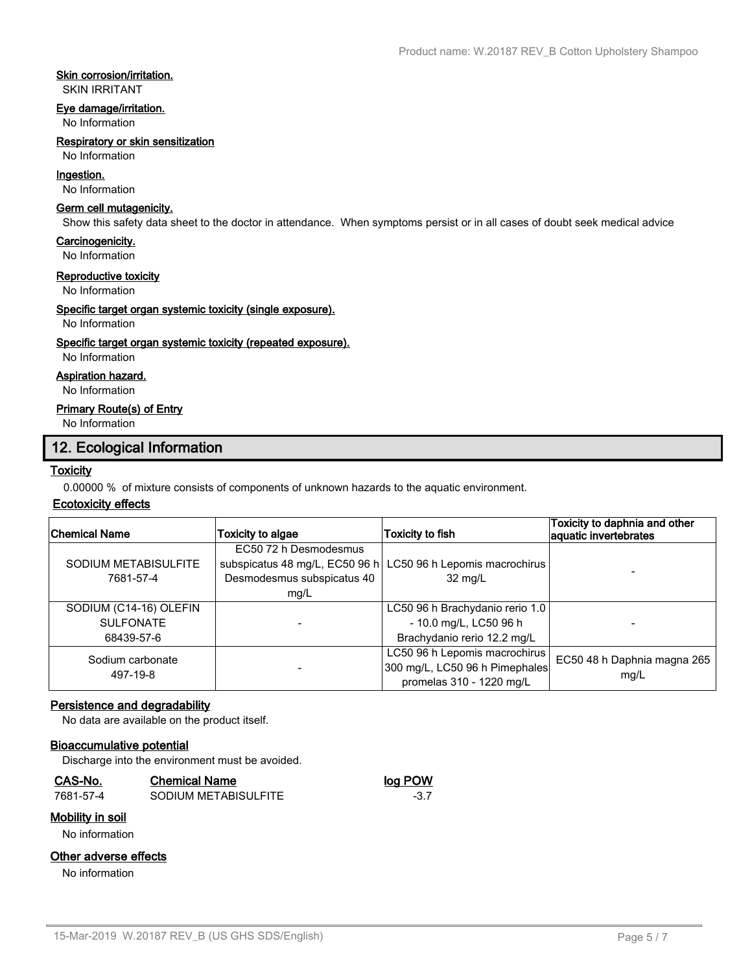# **Skin corrosion/irritation.**

SKIN IRRITANT

#### **Eye damage/irritation.**

No Information

#### **Respiratory or skin sensitization**

No Information

# **Ingestion.**

No Information

#### **Germ cell mutagenicity.**

Show this safety data sheet to the doctor in attendance. When symptoms persist or in all cases of doubt seek medical advice

#### **Carcinogenicity.**

No Information

#### **Reproductive toxicity**

No Information

# **Specific target organ systemic toxicity (single exposure).**

No Information

#### **Specific target organ systemic toxicity (repeated exposure).**

No Information

# **Aspiration hazard.**

No Information

## **Primary Route(s) of Entry**

No Information

# **12. Ecological Information**

## **Toxicity**

0.00000 % of mixture consists of components of unknown hazards to the aquatic environment.

## **Ecotoxicity effects**

| <b>Chemical Name</b>   | Toxicity to algae          | <b>Toxicity to fish</b>                                        | Toxicity to daphnia and other<br>aquatic invertebrates |
|------------------------|----------------------------|----------------------------------------------------------------|--------------------------------------------------------|
|                        | EC50 72 h Desmodesmus      |                                                                |                                                        |
| SODIUM METABISULFITE   |                            | subspicatus 48 mg/L, EC50 96 h   LC50 96 h Lepomis macrochirus |                                                        |
| 7681-57-4              | Desmodesmus subspicatus 40 | $32 \text{ mg/L}$                                              |                                                        |
|                        | mg/L                       |                                                                |                                                        |
| SODIUM (C14-16) OLEFIN |                            | LC50 96 h Brachydanio rerio 1.0                                |                                                        |
| <b>SULFONATE</b>       |                            | - 10.0 mg/L, LC50 96 h                                         |                                                        |
| 68439-57-6             |                            | Brachydanio rerio 12.2 mg/L                                    |                                                        |
| Sodium carbonate       |                            | LC50 96 h Lepomis macrochirus                                  | EC50 48 h Daphnia magna 265                            |
| 497-19-8               |                            | 300 mg/L, LC50 96 h Pimephales                                 | mq/L                                                   |
|                        |                            | promelas 310 - 1220 mg/L                                       |                                                        |

## **Persistence and degradability**

No data are available on the product itself.

## **Bioaccumulative potential**

Discharge into the environment must be avoided.

## **CAS-No. Chemical Name log POW**

7681-57-4 SODIUM METABISULFITE -3.7

# **Mobility in soil**

No information

## **Other adverse effects**

No information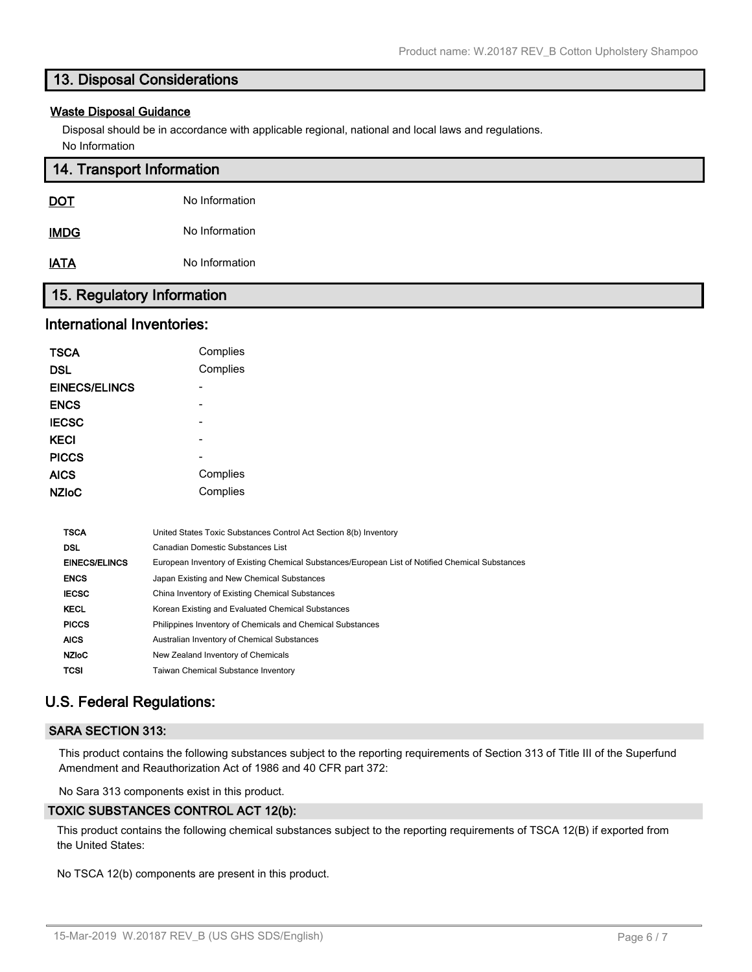# **13. Disposal Considerations**

#### **Waste Disposal Guidance**

Disposal should be in accordance with applicable regional, national and local laws and regulations. No Information

| 14. Transport Information  |                |  |
|----------------------------|----------------|--|
| <b>DOT</b>                 | No Information |  |
| <b>IMDG</b>                | No Information |  |
| <b>IATA</b>                | No Information |  |
| 15. Regulatory Information |                |  |

# **International Inventories:**

| <b>TSCA</b>          | Complies                                                          |
|----------------------|-------------------------------------------------------------------|
| <b>DSL</b>           | Complies                                                          |
| <b>EINECS/ELINCS</b> | -                                                                 |
| <b>ENCS</b>          | -                                                                 |
| <b>IECSC</b>         | -                                                                 |
| <b>KECI</b>          | -                                                                 |
| <b>PICCS</b>         |                                                                   |
| <b>AICS</b>          | Complies                                                          |
| <b>NZIoC</b>         | Complies                                                          |
|                      |                                                                   |
| <b>TSCA</b>          | United States Toxic Substances Control Act Section 8(b) Inventory |

| DSL                  | Canadian Domestic Substances List                                                                |
|----------------------|--------------------------------------------------------------------------------------------------|
| <b>EINECS/ELINCS</b> | European Inventory of Existing Chemical Substances/European List of Notified Chemical Substances |
| <b>ENCS</b>          | Japan Existing and New Chemical Substances                                                       |
| <b>IECSC</b>         | China Inventory of Existing Chemical Substances                                                  |
| <b>KECL</b>          | Korean Existing and Evaluated Chemical Substances                                                |
| <b>PICCS</b>         | Philippines Inventory of Chemicals and Chemical Substances                                       |
| <b>AICS</b>          | Australian Inventory of Chemical Substances                                                      |
| <b>NZIoC</b>         | New Zealand Inventory of Chemicals                                                               |
| <b>TCSI</b>          | Taiwan Chemical Substance Inventory                                                              |
|                      |                                                                                                  |

# **U.S. Federal Regulations:**

## **SARA SECTION 313:**

This product contains the following substances subject to the reporting requirements of Section 313 of Title III of the Superfund Amendment and Reauthorization Act of 1986 and 40 CFR part 372:

No Sara 313 components exist in this product.

# **TOXIC SUBSTANCES CONTROL ACT 12(b):**

This product contains the following chemical substances subject to the reporting requirements of TSCA 12(B) if exported from the United States:

No TSCA 12(b) components are present in this product.